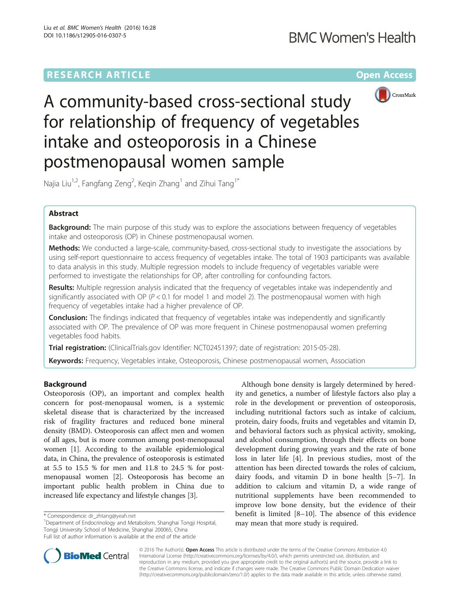# RESEARCH ARTICLE **And Electronic Control** Control Control Control Control Control Control Control Control Control Control Control Control Control Control Control Control Control Control Control Control Control Control Cont



A community-based cross-sectional study for relationship of frequency of vegetables intake and osteoporosis in a Chinese postmenopausal women sample

Najia Liu<sup>1,2</sup>, Fangfang Zeng<sup>2</sup>, Keqin Zhang<sup>1</sup> and Zihui Tang<sup>1\*</sup>

# Abstract

**Background:** The main purpose of this study was to explore the associations between frequency of vegetables intake and osteoporosis (OP) in Chinese postmenopausal women.

Methods: We conducted a large-scale, community-based, cross-sectional study to investigate the associations by using self-report questionnaire to access frequency of vegetables intake. The total of 1903 participants was available to data analysis in this study. Multiple regression models to include frequency of vegetables variable were performed to investigate the relationships for OP, after controlling for confounding factors.

Results: Multiple regression analysis indicated that the frequency of vegetables intake was independently and significantly associated with OP ( $P < 0.1$  for model 1 and model 2). The postmenopausal women with high frequency of vegetables intake had a higher prevalence of OP.

**Conclusion:** The findings indicated that frequency of vegetables intake was independently and significantly associated with OP. The prevalence of OP was more frequent in Chinese postmenopausal women preferring vegetables food habits.

Trial registration: (ClinicalTrials.gov Identifier: [NCT02451397;](https://clinicaltrials.gov/show/NCT02451397) date of registration: 2015-05-28).

Keywords: Frequency, Vegetables intake, Osteoporosis, Chinese postmenopausal women, Association

# Background

Osteoporosis (OP), an important and complex health concern for post-menopausal women, is a systemic skeletal disease that is characterized by the increased risk of fragility fractures and reduced bone mineral density (BMD). Osteoporosis can affect men and women of all ages, but is more common among post-menopausal women [[1](#page-5-0)]. According to the available epidemiological data, in China, the prevalence of osteoporosis is estimated at 5.5 to 15.5 % for men and 11.8 to 24.5 % for postmenopausal women [\[2](#page-5-0)]. Osteoporosis has become an important public health problem in China due to increased life expectancy and lifestyle changes [[3\]](#page-5-0).

Department of Endocrinology and Metabolism, Shanghai Tongji Hospital, Tongji University School of Medicine, Shanghai 200065, China Full list of author information is available at the end of the article

Although bone density is largely determined by heredity and genetics, a number of lifestyle factors also play a role in the development or prevention of osteoporosis, including nutritional factors such as intake of calcium, protein, dairy foods, fruits and vegetables and vitamin D, and behavioral factors such as physical activity, smoking, and alcohol consumption, through their effects on bone development during growing years and the rate of bone loss in later life [\[4](#page-5-0)]. In previous studies, most of the attention has been directed towards the roles of calcium, dairy foods, and vitamin D in bone health [\[5](#page-5-0)–[7\]](#page-5-0). In addition to calcium and vitamin D, a wide range of nutritional supplements have been recommended to improve low bone density, but the evidence of their benefit is limited [\[8](#page-5-0)–[10\]](#page-5-0). The absence of this evidence may mean that more study is required.



© 2016 The Author(s). Open Access This article is distributed under the terms of the Creative Commons Attribution 4.0 International License [\(http://creativecommons.org/licenses/by/4.0/](http://creativecommons.org/licenses/by/4.0/)), which permits unrestricted use, distribution, and reproduction in any medium, provided you give appropriate credit to the original author(s) and the source, provide a link to the Creative Commons license, and indicate if changes were made. The Creative Commons Public Domain Dedication waiver [\(http://creativecommons.org/publicdomain/zero/1.0/](http://creativecommons.org/publicdomain/zero/1.0/)) applies to the data made available in this article, unless otherwise stated.

<sup>\*</sup> Correspondence: [dr\\_zhtang@yeah.net](mailto:dr_zhtang@yeah.net) <sup>1</sup>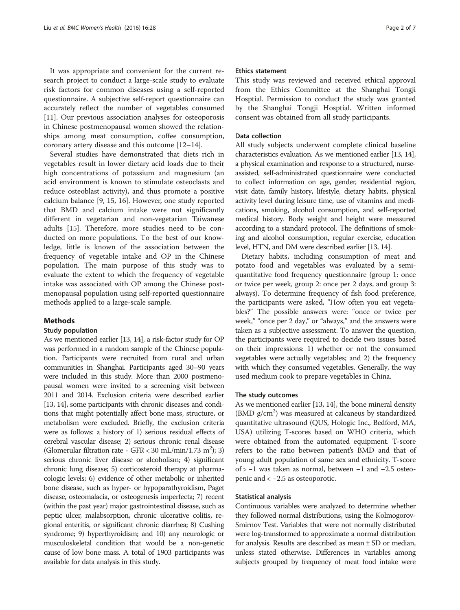It was appropriate and convenient for the current research project to conduct a large-scale study to evaluate risk factors for common diseases using a self-reported questionnaire. A subjective self-report questionnaire can accurately reflect the number of vegetables consumed [[11\]](#page-5-0). Our previous association analyses for osteoporosis in Chinese postmenopausal women showed the relationships among meat consumption, coffee consumption, coronary artery disease and this outcome [[12](#page-5-0)–[14](#page-5-0)].

Several studies have demonstrated that diets rich in vegetables result in lower dietary acid loads due to their high concentrations of potassium and magnesium (an acid environment is known to stimulate osteoclasts and reduce osteoblast activity), and thus promote a positive calcium balance [\[9](#page-5-0), [15](#page-5-0), [16](#page-5-0)]. However, one study reported that BMD and calcium intake were not significantly different in vegetarian and non-vegetarian Taiwanese adults [[15\]](#page-5-0). Therefore, more studies need to be conducted on more populations. To the best of our knowledge, little is known of the association between the frequency of vegetable intake and OP in the Chinese population. The main purpose of this study was to evaluate the extent to which the frequency of vegetable intake was associated with OP among the Chinese postmenopausal population using self-reported questionnaire methods applied to a large-scale sample.

#### Methods

### Study population

As we mentioned earlier [[13](#page-5-0), [14](#page-5-0)], a risk-factor study for OP was performed in a random sample of the Chinese population. Participants were recruited from rural and urban communities in Shanghai. Participants aged 30–90 years were included in this study. More than 2000 postmenopausal women were invited to a screening visit between 2011 and 2014. Exclusion criteria were described earlier [[13](#page-5-0), [14](#page-5-0)], some participants with chronic diseases and conditions that might potentially affect bone mass, structure, or metabolism were excluded. Briefly, the exclusion criteria were as follows: a history of 1) serious residual effects of cerebral vascular disease; 2) serious chronic renal disease (Glomerular filtration rate - GFR < 30 mL/min/1.73 m<sup>2</sup>); 3) serious chronic liver disease or alcoholism; 4) significant chronic lung disease; 5) corticosteroid therapy at pharmacologic levels; 6) evidence of other metabolic or inherited bone disease, such as hyper- or hypoparathyroidism, Paget disease, osteomalacia, or osteogenesis imperfecta; 7) recent (within the past year) major gastrointestinal disease, such as peptic ulcer, malabsorption, chronic ulcerative colitis, regional enteritis, or significant chronic diarrhea; 8) Cushing syndrome; 9) hyperthyroidism; and 10) any neurologic or musculoskeletal condition that would be a non-genetic cause of low bone mass. A total of 1903 participants was available for data analysis in this study.

### Ethics statement

This study was reviewed and received ethical approval from the Ethics Committee at the Shanghai Tongji Hosptial. Permission to conduct the study was granted by the Shanghai Tongji Hosptial. Written informed consent was obtained from all study participants.

### Data collection

All study subjects underwent complete clinical baseline characteristics evaluation. As we mentioned earlier [[13](#page-5-0), [14](#page-5-0)], a physical examination and response to a structured, nurseassisted, self-administrated questionnaire were conducted to collect information on age, gender, residential region, visit date, family history, lifestyle, dietary habits, physical activity level during leisure time, use of vitamins and medications, smoking, alcohol consumption, and self-reported medical history. Body weight and height were measured according to a standard protocol. The definitions of smoking and alcohol consumption, regular exercise, education level, HTN, and DM were described earlier [\[13](#page-5-0), [14](#page-5-0)].

Dietary habits, including consumption of meat and potato food and vegetables was evaluated by a semiquantitative food frequency questionnaire (group 1: once or twice per week, group 2: once per 2 days, and group 3: always). To determine frequency of fish food preference, the participants were asked, "How often you eat vegetables?" The possible answers were: "once or twice per week," "once per 2 day," or "always," and the answers were taken as a subjective assessment. To answer the question, the participants were required to decide two issues based on their impressions: 1) whether or not the consumed vegetables were actually vegetables; and 2) the frequency with which they consumed vegetables. Generally, the way used medium cook to prepare vegetables in China.

### The study outcomes

As we mentioned earlier [\[13, 14\]](#page-5-0), the bone mineral density (BMD g/cm<sup>2</sup>) was measured at calcaneus by standardized quantitative ultrasound (QUS, Hologic Inc., Bedford, MA, USA) utilizing T-scores based on WHO criteria, which were obtained from the automated equipment. T-score refers to the ratio between patient's BMD and that of young adult population of same sex and ethnicity. T-score of > −1 was taken as normal, between −1 and −2.5 osteopenic and < −2.5 as osteoporotic.

#### Statistical analysis

Continuous variables were analyzed to determine whether they followed normal distributions, using the Kolmogorov-Smirnov Test. Variables that were not normally distributed were log-transformed to approximate a normal distribution for analysis. Results are described as mean  $\pm$  SD or median, unless stated otherwise. Differences in variables among subjects grouped by frequency of meat food intake were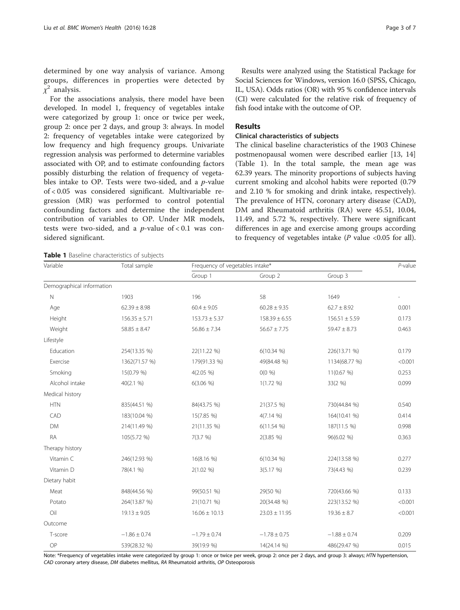For the associations analysis, there model have been developed. In model 1, frequency of vegetables intake were categorized by group 1: once or twice per week, group 2: once per 2 days, and group 3: always. In model 2: frequency of vegetables intake were categorized by low frequency and high frequency groups. Univariate regression analysis was performed to determine variables associated with OP, and to estimate confounding factors possibly disturbing the relation of frequency of vegetables intake to OP. Tests were two-sided, and a p-value of < 0.05 was considered significant. Multivariable regression (MR) was performed to control potential confounding factors and determine the independent contribution of variables to OP. Under MR models, tests were two-sided, and a  $p$ -value of < 0.1 was considered significant.

Results were analyzed using the Statistical Package for Social Sciences for Windows, version 16.0 (SPSS, Chicago, IL, USA). Odds ratios (OR) with 95 % confidence intervals (CI) were calculated for the relative risk of frequency of fish food intake with the outcome of OP.

### Results

### Clinical characteristics of subjects

The clinical baseline characteristics of the 1903 Chinese postmenopausal women were described earlier [\[13](#page-5-0), [14](#page-5-0)] (Table 1). In the total sample, the mean age was 62.39 years. The minority proportions of subjects having current smoking and alcohol habits were reported (0.79 and 2.10 % for smoking and drink intake, respectively). The prevalence of HTN, coronary artery disease (CAD), DM and Rheumatoid arthritis (RA) were 45.51, 10.04, 11.49, and 5.72 %, respectively. There were significant differences in age and exercise among groups according to frequency of vegetables intake  $(P \text{ value} < 0.05 \text{ for all}).$ 

| Variable                  | Total sample      | Frequency of vegetables intake* | $P$ -value        |                   |         |
|---------------------------|-------------------|---------------------------------|-------------------|-------------------|---------|
|                           |                   | Group 1                         | Group 2           | Group 3           |         |
| Demographical information |                   |                                 |                   |                   |         |
| $\hbox{N}$                | 1903              | 196                             | 58                | 1649              |         |
| Age                       | $62.39 \pm 8.98$  | $60.4 \pm 9.05$                 | $60.28 \pm 9.35$  | $62.7 \pm 8.92$   | 0.001   |
| Height                    | $156.35 \pm 5.71$ | $153.73 \pm 5.37$               | $158.39 \pm 6.55$ | $156.51 \pm 5.59$ | 0.173   |
| Weight                    | $58.85 \pm 8.47$  | $56.86 \pm 7.34$                | $56.67 \pm 7.75$  | $59.47 \pm 8.73$  | 0.463   |
| Lifestyle                 |                   |                                 |                   |                   |         |
| Education                 | 254(13.35 %)      | 22(11.22 %)                     | $6(10.34\%)$      | 226(13.71 %)      | 0.179   |
| Exercise                  | 1362(71.57 %)     | 179(91.33 %)                    | 49(84.48 %)       | 1134(68.77 %)     | < 0.001 |
| Smoking                   | 15(0.79 %)        | $4(2.05\%)$                     | $O(0\% )$         | 11(0.67%)         | 0.253   |
| Alcohol intake            | 40(2.1 %)         | $6(3.06\%)$                     | $1(1.72\% )$      | 33(2 %)           | 0.099   |
| Medical history           |                   |                                 |                   |                   |         |
| <b>HTN</b>                | 835(44.51 %)      | 84(43.75 %)                     | 21(37.5 %)        | 730(44.84 %)      | 0.540   |
| CAD                       | 183(10.04 %)      | 15(7.85 %)                      | $4(7.14\%)$       | 164(10.41 %)      | 0.414   |
| <b>DM</b>                 | 214(11.49 %)      | 21(11.35 %)                     | $6(11.54\%)$      | 187(11.5 %)       | 0.998   |
| RA                        | 105(5.72 %)       | 7(3.7 %)                        | $2(3.85\%)$       | 96(6.02 %)        | 0.363   |
| Therapy history           |                   |                                 |                   |                   |         |
| Vitamin C                 | 246(12.93 %)      | 16(8.16 %)                      | $6(10.34\%)$      | 224(13.58 %)      | 0.277   |
| Vitamin D                 | 78(4.1 %)         | $2(1.02\% )$                    | 3(5.17%)          | 73(4.43 %)        | 0.239   |
| Dietary habit             |                   |                                 |                   |                   |         |
| Meat                      | 848(44.56 %)      | 99(50.51 %)                     | 29(50 %)          | 720(43.66 %)      | 0.133   |
| Potato                    | 264(13.87 %)      | 21(10.71 %)                     | 20(34.48 %)       | 223(13.52 %)      | < 0.001 |
| Oil                       | $19.13 \pm 9.05$  | $16.06 \pm 10.13$               | $23.03 \pm 11.95$ | $19.36 \pm 8.7$   | < 0.001 |
| Outcome                   |                   |                                 |                   |                   |         |
| T-score                   | $-1.86 \pm 0.74$  | $-1.79 \pm 0.74$                | $-1.78 \pm 0.75$  | $-1.88 \pm 0.74$  | 0.209   |
| OP                        | 539(28.32 %)      | 39(19.9 %)                      | 14(24.14 %)       | 486(29.47 %)      | 0.015   |

Note: \*Frequency of vegetables intake were categorized by group 1: once or twice per week, group 2: once per 2 days, and group 3: always; HTN hypertension, CAD coronary artery disease, DM diabetes mellitus, RA Rheumatoid arthritis, OP Osteoporosis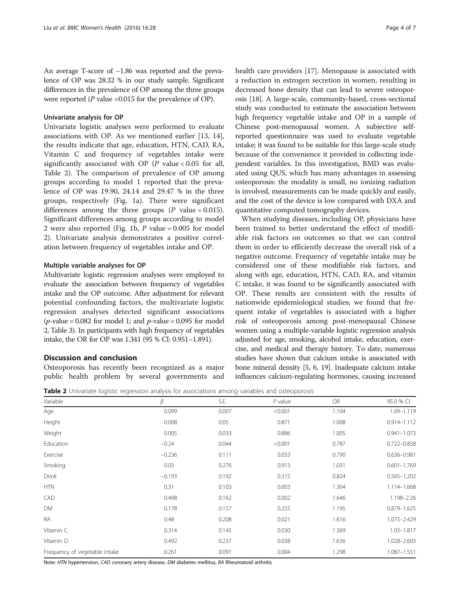An average T-score of −1.86 was reported and the prevalence of OP was 28.32 % in our study sample. Significant differences in the prevalence of OP among the three groups were reported ( $P$  value =0.015 for the prevalence of OP).

### Univariate analysis for OP

Univariate logistic analyses were performed to evaluate associations with OP. As we mentioned earlier [[13, 14](#page-5-0)], the results indicate that age, education, HTN, CAD, RA, Vitamin C and frequency of vegetables intake were significantly associated with OP ( $P$  value < 0.05 for all, Table 2). The comparison of prevalence of OP among groups according to model 1 reported that the prevalence of OP was 19.90, 24.14 and 29.47 % in the three groups, respectively (Fig. [1](#page-4-0)a). There were significant differences among the three groups  $(P \text{ value} = 0.015)$ . Significant differences among groups according to model 2 were also reported (Fig. [1b](#page-4-0),  $P$  value = 0.005 for model 2). Univariate analysis demonstrates a positive correlation between frequency of vegetables intake and OP.

### Multiple variable analyses for OP

Multivariate logistic regression analyses were employed to evaluate the association between frequency of vegetables intake and the OP outcome. After adjustment for relevant potential confounding factors, the multivariate logistic regression analyses detected significant associations (*p*-value = 0.082 for model 1; and *p*-value = 0.095 for model 2, Table [3\)](#page-4-0). In participants with high frequency of vegetables intake, the OR for OP was 1.341 (95 % CI: 0.951–1.891).

### Discussion and conclusion

Osteoporosis has recently been recognized as a major public health problem by several governments and health care providers [[17\]](#page-5-0). Menopause is associated with a reduction in estrogen secretion in women, resulting in decreased bone density that can lead to severe osteoporosis [\[18\]](#page-5-0). A large-scale, community-based, cross-sectional study was conducted to estimate the association between high frequency vegetable intake and OP in a sample of Chinese post-menopausal women. A subjective selfreported questionnaire was used to evaluate vegetable intake; it was found to be suitable for this large-scale study because of the convenience it provided in collecting independent variables. In this investigation, BMD was evaluated using QUS, which has many advantages in assessing osteoporosis: the modality is small, no ionizing radiation is involved, measurements can be made quickly and easily, and the cost of the device is low compared with DXA and quantitative computed tomography devices.

When studying diseases, including OP, physicians have been trained to better understand the effect of modifiable risk factors on outcomes so that we can control them in order to efficiently decrease the overall risk of a negative outcome. Frequency of vegetable intake may be considered one of these modifiable risk factors, and along with age, education, HTN, CAD, RA, and vitamin C intake, it was found to be significantly associated with OP. These results are consistent with the results of nationwide epidemiological studies; we found that frequent intake of vegetables is associated with a higher risk of osteoporosis among post-menopausal Chinese women using a multiple-variable logistic regression analysis adjusted for age, smoking, alcohol intake, education, exercise, and medical and therapy history. To date, numerous studies have shown that calcium intake is associated with bone mineral density [\[5, 6](#page-5-0), [19](#page-5-0)]. Inadequate calcium intake influences calcium-regulating hormones, causing increased

Table 2 Univariate logistic regression analysis for associations among variables and osteoporosis

| Variable                      | β        | S.E.  | $P$ value | <b>OR</b> | 95.0 % CI       |
|-------------------------------|----------|-------|-----------|-----------|-----------------|
| Age                           | 0.099    | 0.007 | < 0.001   | 1.104     | 1.09-1.119      |
| Height                        | 0.008    | 0.05  | 0.871     | 1.008     | $0.914 - 1.112$ |
| Weight                        | 0.005    | 0.033 | 0.886     | 1.005     | $0.941 - 1.073$ |
| Education                     | $-0.24$  | 0.044 | < 0.001   | 0.787     | $0.722 - 0.858$ |
| Exercise                      | $-0.236$ | 0.111 | 0.033     | 0.790     | $0.636 - 0.981$ |
| Smoking                       | 0.03     | 0.276 | 0.913     | 1.031     | $0.601 - 1.769$ |
| <b>Drink</b>                  | $-0.193$ | 0.192 | 0.315     | 0.824     | $0.565 - 1.202$ |
| <b>HTN</b>                    | 0.31     | 0.103 | 0.003     | 1.364     | 1.114-1.668     |
| CAD                           | 0.498    | 0.162 | 0.002     | 1.646     | 1.198-2.26      |
| DM                            | 0.178    | 0.157 | 0.255     | 1.195     | $0.879 - 1.625$ |
| <b>RA</b>                     | 0.48     | 0.208 | 0.021     | 1.616     | 1.075-2.429     |
| Vitamin C                     | 0.314    | 0.145 | 0.030     | 1.369     | $1.03 - 1.817$  |
| Vitamin D                     | 0.492    | 0.237 | 0.038     | 1.636     | 1.028-2.603     |
| Frequency of vegetable intake | 0.261    | 0.091 | 0.004     | 1.298     | 1.087-1.551     |

Note: HTN hypertension, CAD coronary artery disease, DM diabetes mellitus, RA Rheumatoid arthritis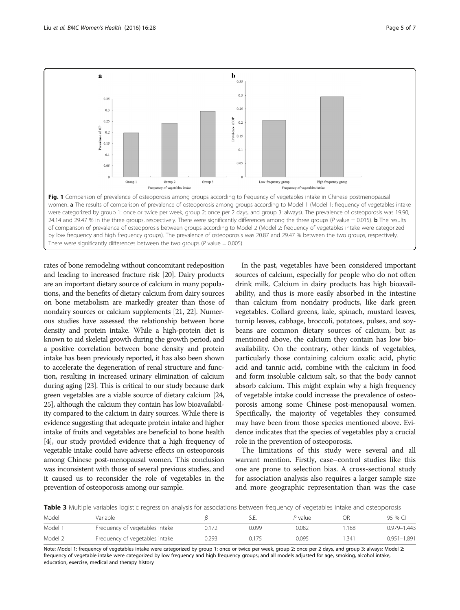<span id="page-4-0"></span>

rates of bone remodeling without concomitant redeposition and leading to increased fracture risk [\[20](#page-5-0)]. Dairy products are an important dietary source of calcium in many populations, and the benefits of dietary calcium from dairy sources on bone metabolism are markedly greater than those of nondairy sources or calcium supplements [\[21,](#page-5-0) [22](#page-6-0)]. Numerous studies have assessed the relationship between bone density and protein intake. While a high-protein diet is known to aid skeletal growth during the growth period, and a positive correlation between bone density and protein intake has been previously reported, it has also been shown to accelerate the degeneration of renal structure and function, resulting in increased urinary elimination of calcium during aging [\[23\]](#page-6-0). This is critical to our study because dark green vegetables are a viable source of dietary calcium [\[24](#page-6-0), [25](#page-6-0)], although the calcium they contain has low bioavailability compared to the calcium in dairy sources. While there is evidence suggesting that adequate protein intake and higher intake of fruits and vegetables are beneficial to bone health [[4](#page-5-0)], our study provided evidence that a high frequency of vegetable intake could have adverse effects on osteoporosis among Chinese post-menopausal women. This conclusion was inconsistent with those of several previous studies, and it caused us to reconsider the role of vegetables in the prevention of osteoporosis among our sample.

In the past, vegetables have been considered important sources of calcium, especially for people who do not often drink milk. Calcium in dairy products has high bioavailability, and thus is more easily absorbed in the intestine than calcium from nondairy products, like dark green vegetables. Collard greens, kale, spinach, mustard leaves, turnip leaves, cabbage, broccoli, potatoes, pulses, and soybeans are common dietary sources of calcium, but as mentioned above, the calcium they contain has low bioavailability. On the contrary, other kinds of vegetables, particularly those containing calcium oxalic acid, phytic acid and tannic acid, combine with the calcium in food and form insoluble calcium salt, so that the body cannot absorb calcium. This might explain why a high frequency of vegetable intake could increase the prevalence of osteoporosis among some Chinese post-menopausal women. Specifically, the majority of vegetables they consumed may have been from those species mentioned above. Evidence indicates that the species of vegetables play a crucial role in the prevention of osteoporosis.

The limitations of this study were several and all warrant mention. Firstly, case–control studies like this one are prone to selection bias. A cross-sectional study for association analysis also requires a larger sample size and more geographic representation than was the case

Table 3 Multiple variables logistic regression analysis for associations between frequency of vegetables intake and osteoporosis

| Model              | Variable                       |       | S.E.  | P value |      | 95 % CI         |
|--------------------|--------------------------------|-------|-------|---------|------|-----------------|
| Model <sup>-</sup> | Frequency of vegetables intake | 72    | 0.099 | 0.082   | 188  | 0.979-1.443     |
| Model 2            | Frequency of vegetables intake | 0.293 | 0.175 | 0.095   | .341 | $0.951 - 1.891$ |

Note: Model 1: frequency of vegetables intake were categorized by group 1: once or twice per week, group 2: once per 2 days, and group 3: always; Model 2: frequency of vegetable intake were categorized by low frequency and high frequency groups; and all models adjusted for age, smoking, alcohol intake, education, exercise, medical and therapy history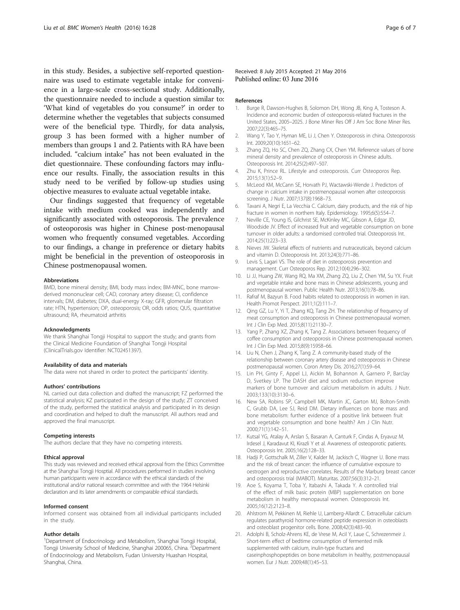<span id="page-5-0"></span>in this study. Besides, a subjective self-reported questionnaire was used to estimate vegetable intake for convenience in a large-scale cross-sectional study. Additionally, the questionnaire needed to include a question similar to: 'What kind of vegetables do you consume?' in order to determine whether the vegetables that subjects consumed were of the beneficial type. Thirdly, for data analysis, group 3 has been formed with a higher number of members than groups 1 and 2. Patients with RA have been included. "calcium intake" has not been evaluated in the diet questionnaire. These confounding factors may influence our results. Finally, the association results in this study need to be verified by follow-up studies using objective measures to evaluate actual vegetable intake.

Our findings suggested that frequency of vegetable intake with medium cooked was independently and significantly associated with osteoporosis. The prevalence of osteoporosis was higher in Chinese post-menopausal women who frequently consumed vegetables. According to our findings, a change in preference or dietary habits might be beneficial in the prevention of osteoporosis in Chinese postmenopausal women.

#### Abbreviations

BMD, bone mineral density; BMI, body mass index; BM-MNC, bone marrowderived mononuclear cell; CAD, coronary artery disease; CI, confidence intervals; DM, diabetes; DXA, dual-energy X-ray; GFR, glomerular filtration rate; HTN, hypertension; OP, osteoporosis; OR, odds ratios; QUS, quantitative ultrasound; RA, rheumatoid arthritis

#### Acknowledgments

We thank Shanghai Tongji Hospital to support the study; and grants from the Clinical Medicine Foundation of Shanghai Tongji Hospital (ClinicalTrials.gov Identifier: NCT02451397).

#### Availability of data and materials

The data were not shared in order to protect the participants' identity.

#### Authors' contributions

NL carried out data collection and drafted the manuscript; FZ performed the statistical analysis; KZ participated in the design of the study; ZT conceived of the study, performed the statistical analysis and participated in its design and coordination and helped to draft the manuscript. All authors read and approved the final manuscript.

#### Competing interests

The authors declare that they have no competing interests.

#### Ethical approval

This study was reviewed and received ethical approval from the Ethics Committee at the Shanghai Tongji Hosptial. All procedures performed in studies involving human participants were in accordance with the ethical standards of the institutional and/or national research committee and with the 1964 Helsinki declaration and its later amendments or comparable ethical standards.

#### Informed consent

Informed consent was obtained from all individual participants included in the study.

#### Author details

<sup>1</sup>Department of Endocrinology and Metabolism, Shanghai Tongji Hospital, Tongji University School of Medicine, Shanghai 200065, China. <sup>2</sup>Department of Endocrinology and Metabolism, Fudan University Huashan Hospital, Shanghai, China.

Received: 8 July 2015 Accepted: 21 May 2016 Published online: 03 June 2016

#### References

- 1. Burge R, Dawson-Hughes B, Solomon DH, Wong JB, King A, Tosteson A. Incidence and economic burden of osteoporosis-related fractures in the United States, 2005–2025. J Bone Miner Res Off J Am Soc Bone Miner Res. 2007;22(3):465–75.
- 2. Wang Y, Tao Y, Hyman ME, Li J, Chen Y. Osteoporosis in china. Osteoporosis Int. 2009;20(10):1651–62.
- 3. Zhang ZQ, Ho SC, Chen ZQ, Zhang CX, Chen YM. Reference values of bone mineral density and prevalence of osteoporosis in Chinese adults. Osteoporosis Int. 2014;25(2):497–507.
- 4. Zhu K, Prince RL. Lifestyle and osteoporosis. Curr Osteoporos Rep. 2015;13(1):52–9.
- 5. McLeod KM, McCann SE, Horvath PJ, Wactawski-Wende J. Predictors of change in calcium intake in postmenopausal women after osteoporosis screening. J Nutr. 2007;137(8):1968–73.
- 6. Tavani A, Negri E, La Vecchia C. Calcium, dairy products, and the risk of hip fracture in women in northern Italy. Epidemiology. 1995;6(5):554–7.
- 7. Neville CE, Young IS, Gilchrist SE, McKinley MC, Gibson A, Edgar JD, Woodside JV. Effect of increased fruit and vegetable consumption on bone turnover in older adults: a randomised controlled trial. Osteoporosis Int. 2014;25(1):223–33.
- 8. Nieves JW. Skeletal effects of nutrients and nutraceuticals, beyond calcium and vitamin D. Osteoporosis Int. 2013;24(3):771–86.
- 9. Levis S, Lagari VS. The role of diet in osteoporosis prevention and management. Curr Osteoporos Rep. 2012;10(4):296–302.
- 10. Li JJ, Huang ZW, Wang RQ, Ma XM, Zhang ZQ, Liu Z, Chen YM, Su YX. Fruit and vegetable intake and bone mass in Chinese adolescents, young and postmenopausal women. Public Health Nutr. 2013;16(1):78–86.
- 11. Rafraf M, Bazyun B. Food habits related to osteoporosis in women in iran. Health Promot Perspect. 2011;1(2):111–7.
- 12. Qing GZ, Lu Y, Yi T, Zhang KQ, Tang ZH. The relationship of frequency of meat consumption and osteoporosis in Chinese postmenopausal women. Int J Clin Exp Med. 2015;8(11):21130–7.
- 13. Yang P, Zhang XZ, Zhang K, Tang Z. Associations between frequency of coffee consumption and osteoporosis in Chinese postmenopausal women. Int J Clin Exp Med. 2015;8(9):15958–66.
- 14. Liu N, Chen J, Zhang K, Tang Z. A community-based study of the relationship between coronary artery disease and osteoporosis in Chinese postmenopausal women. Coron Artery Dis. 2016;27(1):59–64.
- 15. Lin PH, Ginty F, Appel LJ, Aickin M, Bohannon A, Garnero P, Barclay D, Svetkey LP. The DASH diet and sodium reduction improve markers of bone turnover and calcium metabolism in adults. J Nutr. 2003;133(10):3130–6.
- 16. New SA, Robins SP, Campbell MK, Martin JC, Garton MJ, Bolton-Smith C, Grubb DA, Lee SJ, Reid DM. Dietary influences on bone mass and bone metabolism: further evidence of a positive link between fruit and vegetable consumption and bone health? Am J Clin Nutr. 2000;71(1):142–51.
- 17. Kutsal YG, Atalay A, Arslan S, Basaran A, Canturk F, Cindas A, Eryavuz M, Irdesel J, Karadavut KI, Kirazli Y et al. Awareness of osteoporotic patients. Osteoporosis Int. 2005;16(2):128–33.
- 18. Hadji P, Gottschalk M, Ziller V, Kalder M, Jackisch C, Wagner U. Bone mass and the risk of breast cancer: the influence of cumulative exposure to oestrogen and reproductive correlates. Results of the Marburg breast cancer and osteoporosis trial (MABOT). Maturitas. 2007;56(3):312–21.
- 19. Aoe S, Koyama T, Toba Y, Itabashi A, Takada Y. A controlled trial of the effect of milk basic protein (MBP) supplementation on bone metabolism in healthy menopausal women. Osteoporosis Int. 2005;16(12):2123–8.
- 20. Ahlstrom M, Pekkinen M, Riehle U, Lamberg-Allardt C. Extracellular calcium regulates parathyroid hormone-related peptide expression in osteoblasts and osteoblast progenitor cells. Bone. 2008;42(3):483–90.
- 21. Adolphi B, Scholz-Ahrens KE, de Vrese M, Acil Y, Laue C, Schrezenmeir J. Short-term effect of bedtime consumption of fermented milk supplemented with calcium, inulin-type fructans and caseinphosphopeptides on bone metabolism in healthy, postmenopausal women. Eur J Nutr. 2009;48(1):45–53.